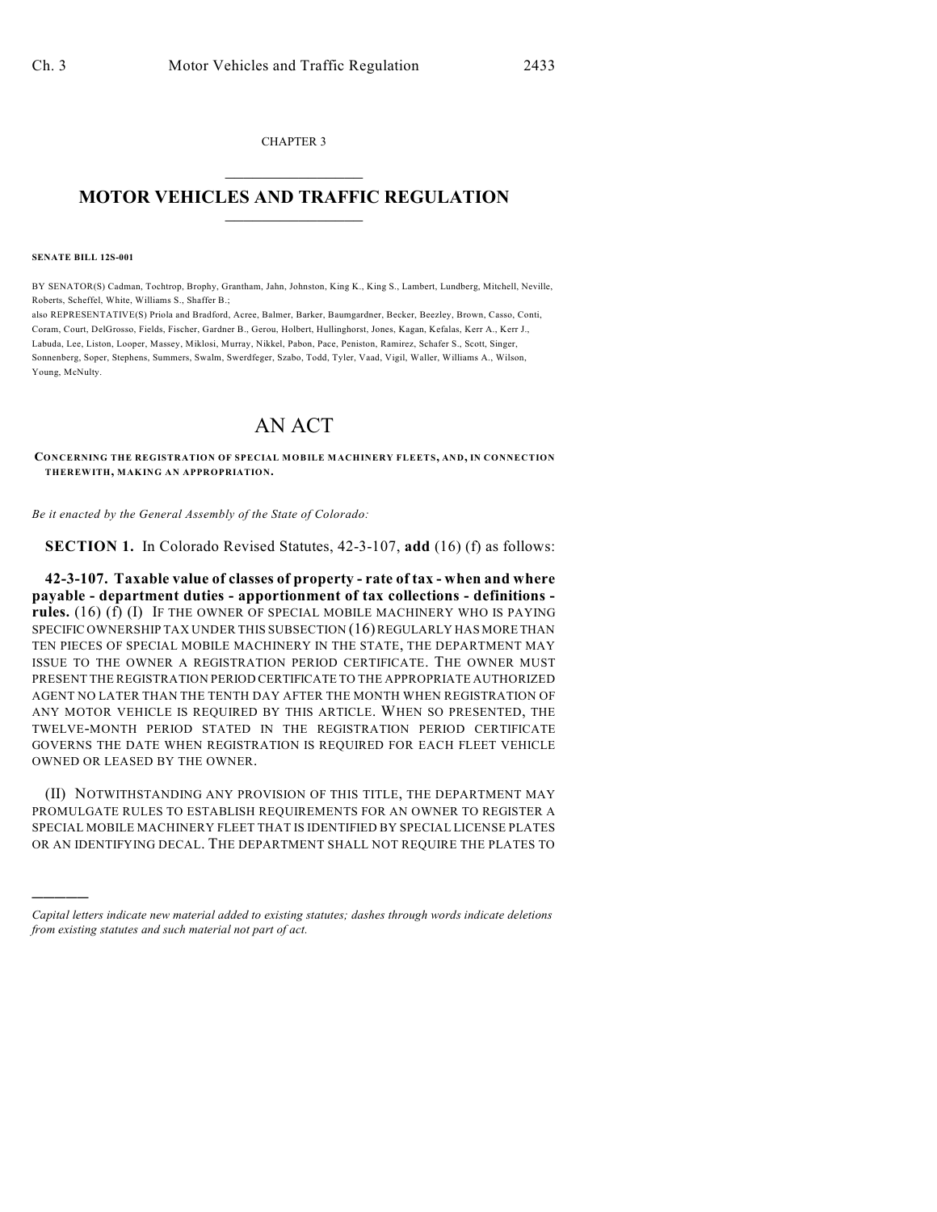CHAPTER 3  $\overline{\phantom{a}}$  . The set of the set of the set of the set of the set of the set of the set of the set of the set of the set of the set of the set of the set of the set of the set of the set of the set of the set of the set o

## **MOTOR VEHICLES AND TRAFFIC REGULATION**  $\frac{1}{2}$  ,  $\frac{1}{2}$  ,  $\frac{1}{2}$  ,  $\frac{1}{2}$  ,  $\frac{1}{2}$  ,  $\frac{1}{2}$  ,  $\frac{1}{2}$

**SENATE BILL 12S-001**

)))))

BY SENATOR(S) Cadman, Tochtrop, Brophy, Grantham, Jahn, Johnston, King K., King S., Lambert, Lundberg, Mitchell, Neville, Roberts, Scheffel, White, Williams S., Shaffer B.;

also REPRESENTATIVE(S) Priola and Bradford, Acree, Balmer, Barker, Baumgardner, Becker, Beezley, Brown, Casso, Conti, Coram, Court, DelGrosso, Fields, Fischer, Gardner B., Gerou, Holbert, Hullinghorst, Jones, Kagan, Kefalas, Kerr A., Kerr J., Labuda, Lee, Liston, Looper, Massey, Miklosi, Murray, Nikkel, Pabon, Pace, Peniston, Ramirez, Schafer S., Scott, Singer, Sonnenberg, Soper, Stephens, Summers, Swalm, Swerdfeger, Szabo, Todd, Tyler, Vaad, Vigil, Waller, Williams A., Wilson, Young, McNulty.

## AN ACT

**CONCERNING THE REGISTRATION OF SPECIAL MOBILE MACHINERY FLEETS, AND, IN CONNECTION THEREWITH, MAKING AN APPROPRIATION.**

*Be it enacted by the General Assembly of the State of Colorado:*

**SECTION 1.** In Colorado Revised Statutes, 42-3-107, **add** (16) (f) as follows:

**42-3-107. Taxable value of classes of property - rate of tax - when and where payable - department duties - apportionment of tax collections - definitions rules.** (16) (f) (I) IF THE OWNER OF SPECIAL MOBILE MACHINERY WHO IS PAYING SPECIFIC OWNERSHIP TAX UNDER THIS SUBSECTION (16) REGULARLY HAS MORE THAN TEN PIECES OF SPECIAL MOBILE MACHINERY IN THE STATE, THE DEPARTMENT MAY ISSUE TO THE OWNER A REGISTRATION PERIOD CERTIFICATE. THE OWNER MUST PRESENT THE REGISTRATION PERIOD CERTIFICATE TO THE APPROPRIATE AUTHORIZED AGENT NO LATER THAN THE TENTH DAY AFTER THE MONTH WHEN REGISTRATION OF ANY MOTOR VEHICLE IS REQUIRED BY THIS ARTICLE. WHEN SO PRESENTED, THE TWELVE-MONTH PERIOD STATED IN THE REGISTRATION PERIOD CERTIFICATE GOVERNS THE DATE WHEN REGISTRATION IS REQUIRED FOR EACH FLEET VEHICLE OWNED OR LEASED BY THE OWNER.

(II) NOTWITHSTANDING ANY PROVISION OF THIS TITLE, THE DEPARTMENT MAY PROMULGATE RULES TO ESTABLISH REQUIREMENTS FOR AN OWNER TO REGISTER A SPECIAL MOBILE MACHINERY FLEET THAT IS IDENTIFIED BY SPECIAL LICENSE PLATES OR AN IDENTIFYING DECAL. THE DEPARTMENT SHALL NOT REQUIRE THE PLATES TO

*Capital letters indicate new material added to existing statutes; dashes through words indicate deletions from existing statutes and such material not part of act.*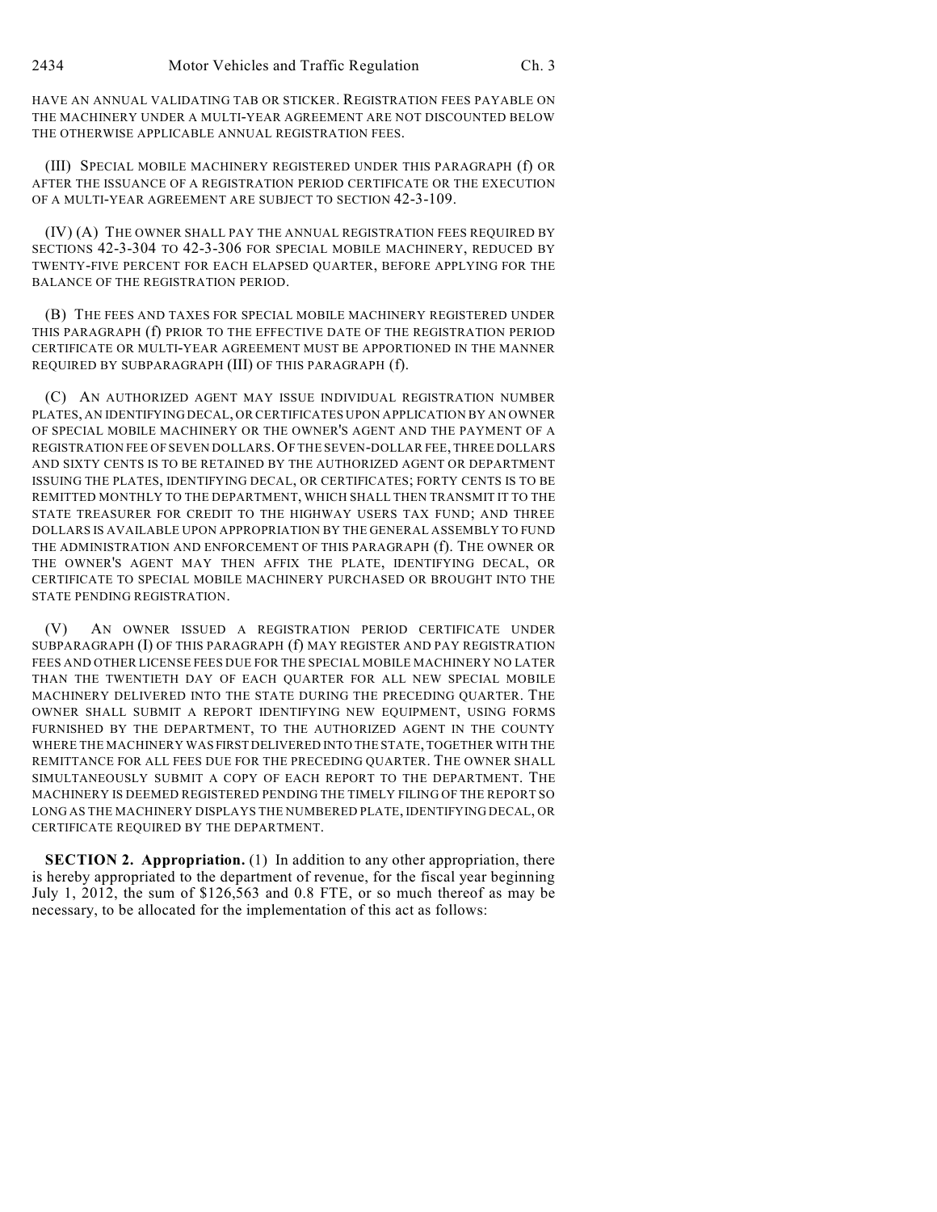HAVE AN ANNUAL VALIDATING TAB OR STICKER. REGISTRATION FEES PAYABLE ON THE MACHINERY UNDER A MULTI-YEAR AGREEMENT ARE NOT DISCOUNTED BELOW THE OTHERWISE APPLICABLE ANNUAL REGISTRATION FEES.

(III) SPECIAL MOBILE MACHINERY REGISTERED UNDER THIS PARAGRAPH (f) OR AFTER THE ISSUANCE OF A REGISTRATION PERIOD CERTIFICATE OR THE EXECUTION OF A MULTI-YEAR AGREEMENT ARE SUBJECT TO SECTION 42-3-109.

(IV) (A) THE OWNER SHALL PAY THE ANNUAL REGISTRATION FEES REQUIRED BY SECTIONS 42-3-304 TO 42-3-306 FOR SPECIAL MOBILE MACHINERY, REDUCED BY TWENTY-FIVE PERCENT FOR EACH ELAPSED QUARTER, BEFORE APPLYING FOR THE BALANCE OF THE REGISTRATION PERIOD.

(B) THE FEES AND TAXES FOR SPECIAL MOBILE MACHINERY REGISTERED UNDER THIS PARAGRAPH (f) PRIOR TO THE EFFECTIVE DATE OF THE REGISTRATION PERIOD CERTIFICATE OR MULTI-YEAR AGREEMENT MUST BE APPORTIONED IN THE MANNER REQUIRED BY SUBPARAGRAPH (III) OF THIS PARAGRAPH (f).

(C) AN AUTHORIZED AGENT MAY ISSUE INDIVIDUAL REGISTRATION NUMBER PLATES, AN IDENTIFYING DECAL, OR CERTIFICATES UPON APPLICATION BY AN OWNER OF SPECIAL MOBILE MACHINERY OR THE OWNER'S AGENT AND THE PAYMENT OF A REGISTRATION FEE OF SEVEN DOLLARS.OF THE SEVEN-DOLLAR FEE, THREE DOLLARS AND SIXTY CENTS IS TO BE RETAINED BY THE AUTHORIZED AGENT OR DEPARTMENT ISSUING THE PLATES, IDENTIFYING DECAL, OR CERTIFICATES; FORTY CENTS IS TO BE REMITTED MONTHLY TO THE DEPARTMENT, WHICH SHALL THEN TRANSMIT IT TO THE STATE TREASURER FOR CREDIT TO THE HIGHWAY USERS TAX FUND; AND THREE DOLLARS IS AVAILABLE UPON APPROPRIATION BY THE GENERAL ASSEMBLY TO FUND THE ADMINISTRATION AND ENFORCEMENT OF THIS PARAGRAPH (f). THE OWNER OR THE OWNER'S AGENT MAY THEN AFFIX THE PLATE, IDENTIFYING DECAL, OR CERTIFICATE TO SPECIAL MOBILE MACHINERY PURCHASED OR BROUGHT INTO THE STATE PENDING REGISTRATION.

(V) AN OWNER ISSUED A REGISTRATION PERIOD CERTIFICATE UNDER SUBPARAGRAPH (I) OF THIS PARAGRAPH (f) MAY REGISTER AND PAY REGISTRATION FEES AND OTHER LICENSE FEES DUE FOR THE SPECIAL MOBILE MACHINERY NO LATER THAN THE TWENTIETH DAY OF EACH QUARTER FOR ALL NEW SPECIAL MOBILE MACHINERY DELIVERED INTO THE STATE DURING THE PRECEDING QUARTER. THE OWNER SHALL SUBMIT A REPORT IDENTIFYING NEW EQUIPMENT, USING FORMS FURNISHED BY THE DEPARTMENT, TO THE AUTHORIZED AGENT IN THE COUNTY WHERE THE MACHINERY WAS FIRST DELIVERED INTO THE STATE, TOGETHER WITH THE REMITTANCE FOR ALL FEES DUE FOR THE PRECEDING QUARTER. THE OWNER SHALL SIMULTANEOUSLY SUBMIT A COPY OF EACH REPORT TO THE DEPARTMENT. THE MACHINERY IS DEEMED REGISTERED PENDING THE TIMELY FILING OF THE REPORT SO LONG AS THE MACHINERY DISPLAYS THE NUMBERED PLATE, IDENTIFYING DECAL, OR CERTIFICATE REQUIRED BY THE DEPARTMENT.

**SECTION 2. Appropriation.** (1) In addition to any other appropriation, there is hereby appropriated to the department of revenue, for the fiscal year beginning July 1, 2012, the sum of \$126,563 and 0.8 FTE, or so much thereof as may be necessary, to be allocated for the implementation of this act as follows: